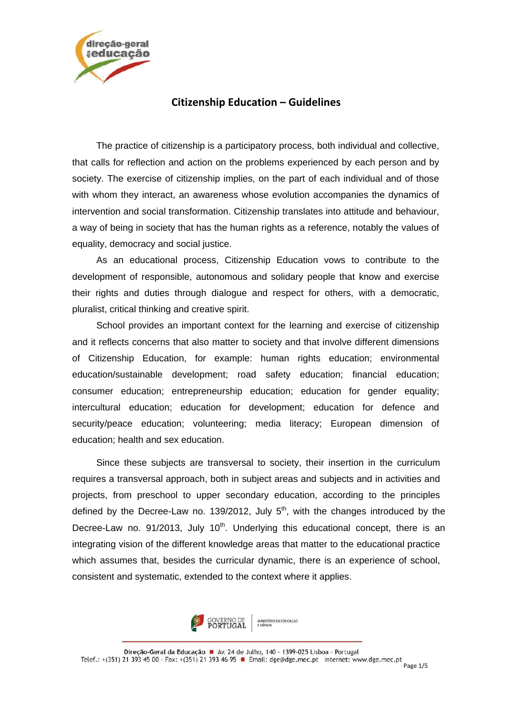

## **Citizenship Education – Guidelines**

The practice of citizenship is a participatory process, both individual and collective, that calls for reflection and action on the problems experienced by each person and by society. The exercise of citizenship implies, on the part of each individual and of those with whom they interact, an awareness whose evolution accompanies the dynamics of intervention and social transformation. Citizenship translates into attitude and behaviour, a way of being in society that has the human rights as a reference, notably the values of equality, democracy and social justice.

As an educational process, Citizenship Education vows to contribute to the development of responsible, autonomous and solidary people that know and exercise their rights and duties through dialogue and respect for others, with a democratic, pluralist, critical thinking and creative spirit.

School provides an important context for the learning and exercise of citizenship and it reflects concerns that also matter to society and that involve different dimensions of Citizenship Education, for example: human rights education; environmental education/sustainable development; road safety education; financial education; consumer education; entrepreneurship education; education for gender equality; intercultural education; education for development; education for defence and security/peace education; volunteering; media literacy; European dimension of education; health and sex education.

Since these subjects are transversal to society, their insertion in the curriculum requires a transversal approach, both in subject areas and subjects and in activities and projects, from preschool to upper secondary education, according to the principles defined by the Decree-Law no. 139/2012, July  $5<sup>th</sup>$ , with the changes introduced by the Decree-Law no.  $91/2013$ , July  $10<sup>th</sup>$ . Underlying this educational concept, there is an integrating vision of the different knowledge areas that matter to the educational practice which assumes that, besides the curricular dynamic, there is an experience of school, consistent and systematic, extended to the context where it applies.

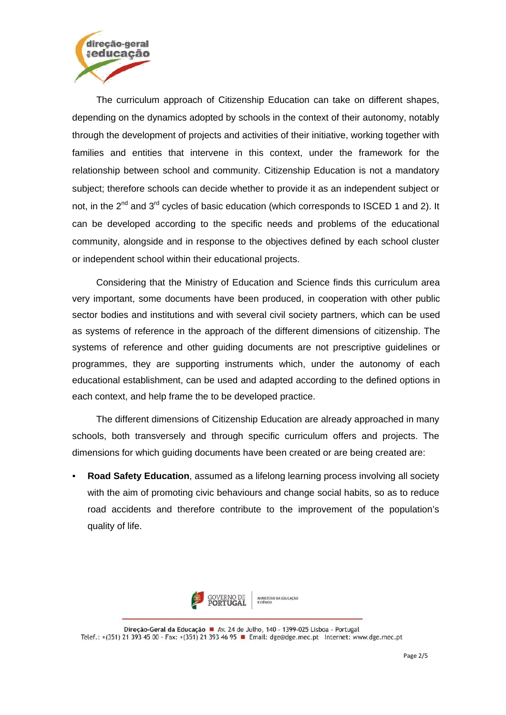

The curriculum approach of Citizenship Education can take on different shapes, depending on the dynamics adopted by schools in the context of their autonomy, notably through the development of projects and activities of their initiative, working together with families and entities that intervene in this context, under the framework for the relationship between school and community. Citizenship Education is not a mandatory subject; therefore schools can decide whether to provide it as an independent subject or not, in the  $2^{nd}$  and  $3^{rd}$  cycles of basic education (which corresponds to ISCED 1 and 2). It can be developed according to the specific needs and problems of the educational community, alongside and in response to the objectives defined by each school cluster or independent school within their educational projects.

Considering that the Ministry of Education and Science finds this curriculum area very important, some documents have been produced, in cooperation with other public sector bodies and institutions and with several civil society partners, which can be used as systems of reference in the approach of the different dimensions of citizenship. The systems of reference and other guiding documents are not prescriptive guidelines or programmes, they are supporting instruments which, under the autonomy of each educational establishment, can be used and adapted according to the defined options in each context, and help frame the to be developed practice.

The different dimensions of Citizenship Education are already approached in many schools, both transversely and through specific curriculum offers and projects. The dimensions for which guiding documents have been created or are being created are:

• **Road Safety Education**, assumed as a lifelong learning process involving all society with the aim of promoting civic behaviours and change social habits, so as to reduce road accidents and therefore contribute to the improvement of the population's quality of life.



Direcão-Geral da Educação · Av. 24 de Julho, 140 - 1399-025 Lisboa - Portugal Telef.: +(351) 21 393 45 00 - Fax: +(351) 21 393 46 95 **B** Email: dge@dge.mec.pt Internet: www.dge.mec.pt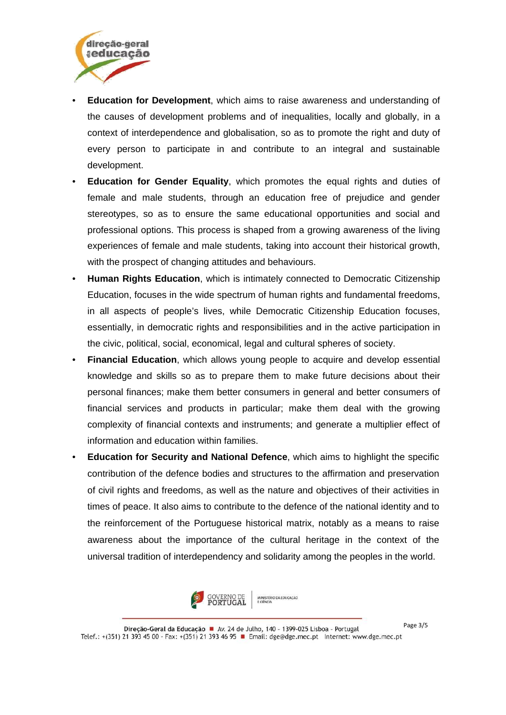

- **Education for Development**, which aims to raise awareness and understanding of the causes of development problems and of inequalities, locally and globally, in a context of interdependence and globalisation, so as to promote the right and duty of every person to participate in and contribute to an integral and sustainable development.
- **Education for Gender Equality**, which promotes the equal rights and duties of female and male students, through an education free of prejudice and gender stereotypes, so as to ensure the same educational opportunities and social and professional options. This process is shaped from a growing awareness of the living experiences of female and male students, taking into account their historical growth, with the prospect of changing attitudes and behaviours.
- **Human Rights Education**, which is intimately connected to Democratic Citizenship Education, focuses in the wide spectrum of human rights and fundamental freedoms, in all aspects of people's lives, while Democratic Citizenship Education focuses, essentially, in democratic rights and responsibilities and in the active participation in the civic, political, social, economical, legal and cultural spheres of society.
- **Financial Education**, which allows young people to acquire and develop essential knowledge and skills so as to prepare them to make future decisions about their personal finances; make them better consumers in general and better consumers of financial services and products in particular; make them deal with the growing complexity of financial contexts and instruments; and generate a multiplier effect of information and education within families.
- **Education for Security and National Defence**, which aims to highlight the specific contribution of the defence bodies and structures to the affirmation and preservation of civil rights and freedoms, as well as the nature and objectives of their activities in times of peace. It also aims to contribute to the defence of the national identity and to the reinforcement of the Portuguese historical matrix, notably as a means to raise awareness about the importance of the cultural heritage in the context of the universal tradition of interdependency and solidarity among the peoples in the world.



Page 3/5Direção-Geral da Educação · Av. 24 de Julho, 140 - 1399-025 Lisboa - Portugal Telef.: +(351) 21 393 45 00 - Fax: +(351) 21 393 46 95 PM Email: dge@dge.mec.pt Internet: www.dge.mec.pt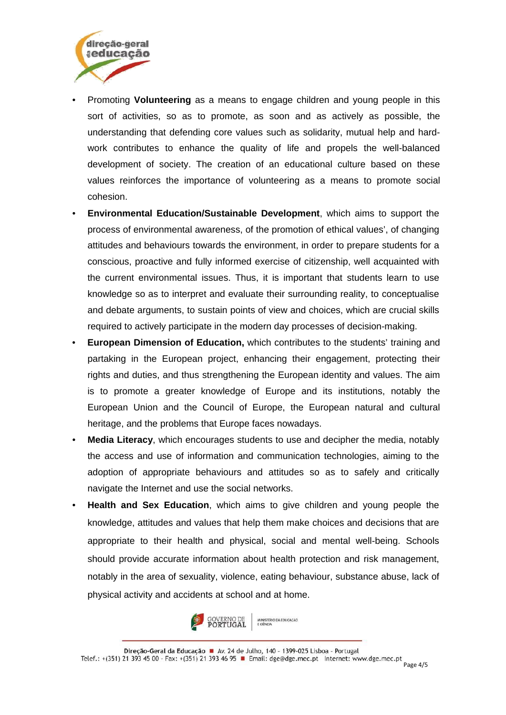

- Promoting **Volunteering** as a means to engage children and young people in this sort of activities, so as to promote, as soon and as actively as possible, the understanding that defending core values such as solidarity, mutual help and hardwork contributes to enhance the quality of life and propels the well-balanced development of society. The creation of an educational culture based on these values reinforces the importance of volunteering as a means to promote social cohesion.
- **Environmental Education/Sustainable Development**, which aims to support the process of environmental awareness, of the promotion of ethical values', of changing attitudes and behaviours towards the environment, in order to prepare students for a conscious, proactive and fully informed exercise of citizenship, well acquainted with the current environmental issues. Thus, it is important that students learn to use knowledge so as to interpret and evaluate their surrounding reality, to conceptualise and debate arguments, to sustain points of view and choices, which are crucial skills required to actively participate in the modern day processes of decision-making.
- **European Dimension of Education,** which contributes to the students' training and partaking in the European project, enhancing their engagement, protecting their rights and duties, and thus strengthening the European identity and values. The aim is to promote a greater knowledge of Europe and its institutions, notably the European Union and the Council of Europe, the European natural and cultural heritage, and the problems that Europe faces nowadays.
- **Media Literacy**, which encourages students to use and decipher the media, notably the access and use of information and communication technologies, aiming to the adoption of appropriate behaviours and attitudes so as to safely and critically navigate the Internet and use the social networks.
- **Health and Sex Education**, which aims to give children and young people the knowledge, attitudes and values that help them make choices and decisions that are appropriate to their health and physical, social and mental well-being. Schools should provide accurate information about health protection and risk management, notably in the area of sexuality, violence, eating behaviour, substance abuse, lack of physical activity and accidents at school and at home.